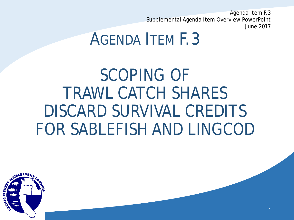Agenda Item F.3 Supplemental Agenda Item Overview PowerPoint June 2017

1

# AGENDA ITEM F.3

SCOPING OF TRAWL CATCH SHARES DISCARD SURVIVAL CREDITS FOR SABLEFISH AND LINGCOD

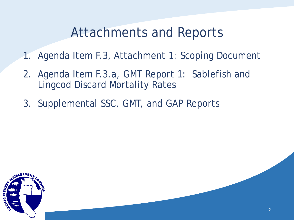## Attachments and Reports

- 1. Agenda Item F.3, Attachment 1: Scoping Document
- 2. Agenda Item F.3.a, GMT Report 1: Sablefish and Lingcod Discard Mortality Rates
- 3. Supplemental SSC, GMT, and GAP Reports

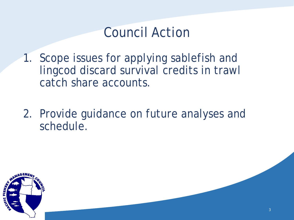## Council Action

- 1. Scope issues for applying sablefish and lingcod discard survival credits in trawl catch share accounts.
- 2. Provide guidance on future analyses and schedule.

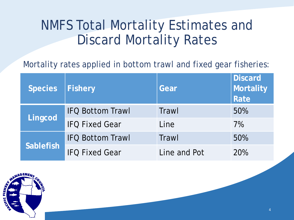## NMFS Total Mortality Estimates and Discard Mortality Rates

Mortality rates applied in bottom trawl and fixed gear fisheries:

| <b>Species</b>   | <b>Fishery</b>          | Gear         | <b>Discard</b><br>Mortality<br>Rate |
|------------------|-------------------------|--------------|-------------------------------------|
| Lingcod          | <b>IFQ Bottom Trawl</b> | Trawl        | 50%                                 |
|                  | <b>IFO Fixed Gear</b>   | Line         | 7%                                  |
| <b>Sablefish</b> | <b>IFQ Bottom Trawl</b> | Trawl        | 50%                                 |
|                  | <b>IFO Fixed Gear</b>   | Line and Pot | 20%                                 |

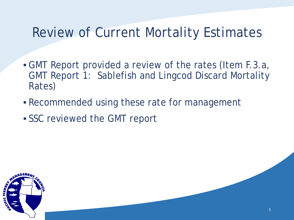## Review of Current Mortality Estimates

- GMT Report provided a review of the rates (Item F.3.a, GMT Report 1: Sablefish and Lingcod Discard Mortality Rates)
- Recommended using these rate for management
- SSC reviewed the GMT report

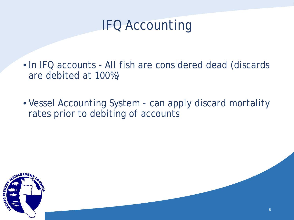# IFQ Accounting

- In IFQ accounts All fish are considered dead (discards are debited at 100%)
- Vessel Accounting System can apply discard mortality rates prior to debiting of accounts

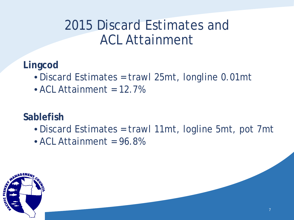# 2015 Discard Estimates and ACL Attainment

**Lingcod** 

- Discard Estimates = trawl 25mt, longline 0.01mt
- $\bullet$  ACL Attainment = 12.7%

#### **Sablefish**

- Discard Estimates = trawl 11mt, logline 5mt, pot 7mt
- $\bullet$  ACL Attainment = 96.8%

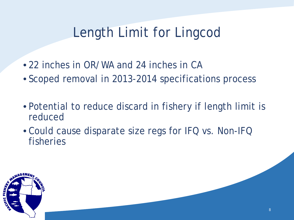# Length Limit for Lingcod

- 22 inches in OR/WA and 24 inches in CA
- Scoped removal in 2013-2014 specifications process
- Potential to reduce discard in fishery if length limit is reduced
- Could cause disparate size regs for IFQ vs. Non-IFQ fisheries

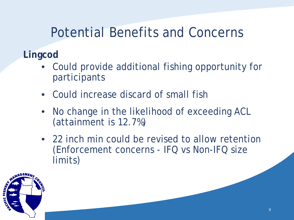## Potential Benefits and Concerns

#### **Lingcod**

- Could provide additional fishing opportunity for participants
- Could increase discard of small fish
- No change in the likelihood of exceeding ACL (attainment is 12.7%)
- 22 inch min could be revised to allow retention (Enforcement concerns - IFQ vs Non-IFQ size limits)

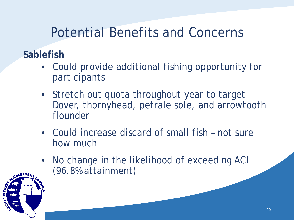# Potential Benefits and Concerns

#### **Sablefish**

- Could provide additional fishing opportunity for participants
- Stretch out quota throughout year to target Dover, thornyhead, petrale sole, and arrowtooth flounder
- Could increase discard of small fish not sure how much
- No change in the likelihood of exceeding ACL (96.8% attainment)

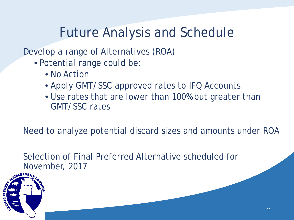# Future Analysis and Schedule

Develop a range of Alternatives (ROA)

- Potential range could be:
	- No Action
	- Apply GMT/SSC approved rates to IFQ Accounts
	- Use rates that are lower than 100% but greater than GMT/SSC rates

Need to analyze potential discard sizes and amounts under ROA

Selection of Final Preferred Alternative scheduled for November, 2017